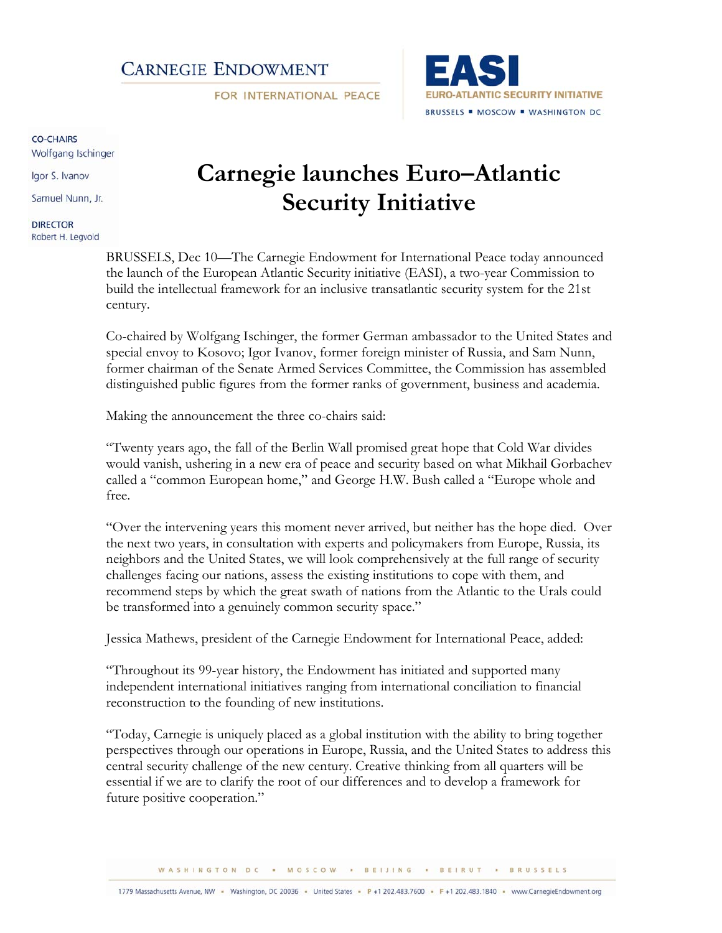## **CARNEGIE ENDOWMENT**

FOR INTERNATIONAL PEACE



#### CO-CHAIRS

Wolfgang Ischinger

Igor S. Ivanov

Samuel Nunn, Jr.

**DIRECTOR** Robert H. Legvold

# **Carnegie launches Euro–Atlantic Security Initiative**

BRUSSELS, Dec 10—The Carnegie Endowment for International Peace today announced the launch of the European Atlantic Security initiative (EASI), a two-year Commission to build the intellectual framework for an inclusive transatlantic security system for the 21st century.

Co-chaired by Wolfgang Ischinger, the former German ambassador to the United States and special envoy to Kosovo; Igor Ivanov, former foreign minister of Russia, and Sam Nunn, former chairman of the Senate Armed Services Committee, the Commission has assembled distinguished public figures from the former ranks of government, business and academia.

Making the announcement the three co-chairs said:

"Twenty years ago, the fall of the Berlin Wall promised great hope that Cold War divides would vanish, ushering in a new era of peace and security based on what Mikhail Gorbachev called a "common European home," and George H.W. Bush called a "Europe whole and free.

"Over the intervening years this moment never arrived, but neither has the hope died. Over the next two years, in consultation with experts and policymakers from Europe, Russia, its neighbors and the United States, we will look comprehensively at the full range of security challenges facing our nations, assess the existing institutions to cope with them, and recommend steps by which the great swath of nations from the Atlantic to the Urals could be transformed into a genuinely common security space."

Jessica Mathews, president of the Carnegie Endowment for International Peace, added:

"Throughout its 99-year history, the Endowment has initiated and supported many independent international initiatives ranging from international conciliation to financial reconstruction to the founding of new institutions.

"Today, Carnegie is uniquely placed as a global institution with the ability to bring together perspectives through our operations in Europe, Russia, and the United States to address this central security challenge of the new century. Creative thinking from all quarters will be essential if we are to clarify the root of our differences and to develop a framework for future positive cooperation."